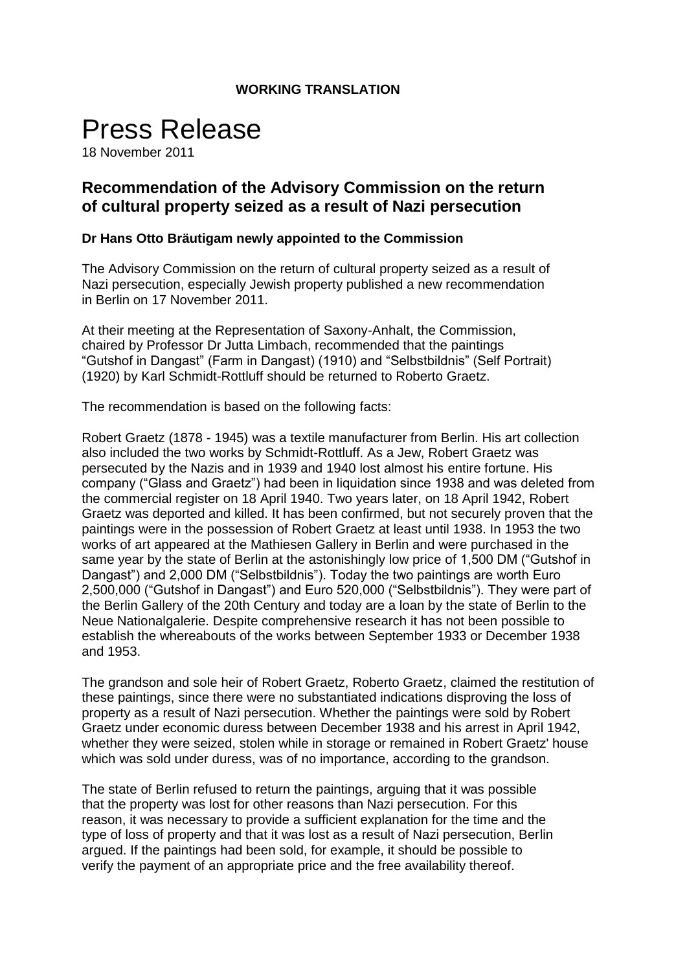## **WORKING TRANSLATION**

## Press Release

18 November 2011

## **Recommendation of the Advisory Commission on the return of cultural property seized as a result of Nazi persecution**

## **Dr Hans Otto Bräutigam newly appointed to the Commission**

The Advisory Commission on the return of cultural property seized as a result of Nazi persecution, especially Jewish property published a new recommendation in Berlin on 17 November 2011.

At their meeting at the Representation of Saxony-Anhalt, the Commission, chaired by Professor Dr Jutta Limbach, recommended that the paintings "Gutshof in Dangast" (Farm in Dangast) (1910) and "Selbstbildnis" (Self Portrait) (1920) by Karl Schmidt-Rottluff should be returned to Roberto Graetz.

The recommendation is based on the following facts:

Robert Graetz (1878 - 1945) was a textile manufacturer from Berlin. His art collection also included the two works by Schmidt-Rottluff. As a Jew, Robert Graetz was persecuted by the Nazis and in 1939 and 1940 lost almost his entire fortune. His company ("Glass and Graetz") had been in liquidation since 1938 and was deleted from the commercial register on 18 April 1940. Two years later, on 18 April 1942, Robert Graetz was deported and killed. It has been confirmed, but not securely proven that the paintings were in the possession of Robert Graetz at least until 1938. In 1953 the two works of art appeared at the Mathiesen Gallery in Berlin and were purchased in the same year by the state of Berlin at the astonishingly low price of 1,500 DM ("Gutshof in Dangast") and 2,000 DM ("Selbstbildnis"). Today the two paintings are worth Euro 2,500,000 ("Gutshof in Dangast") and Euro 520,000 ("Selbstbildnis"). They were part of the Berlin Gallery of the 20th Century and today are a loan by the state of Berlin to the Neue Nationalgalerie. Despite comprehensive research it has not been possible to establish the whereabouts of the works between September 1933 or December 1938 and 1953.

The grandson and sole heir of Robert Graetz, Roberto Graetz, claimed the restitution of these paintings, since there were no substantiated indications disproving the loss of property as a result of Nazi persecution. Whether the paintings were sold by Robert Graetz under economic duress between December 1938 and his arrest in April 1942, whether they were seized, stolen while in storage or remained in Robert Graetz' house which was sold under duress, was of no importance, according to the grandson.

The state of Berlin refused to return the paintings, arguing that it was possible that the property was lost for other reasons than Nazi persecution. For this reason, it was necessary to provide a sufficient explanation for the time and the type of loss of property and that it was lost as a result of Nazi persecution, Berlin argued. If the paintings had been sold, for example, it should be possible to verify the payment of an appropriate price and the free availability thereof.